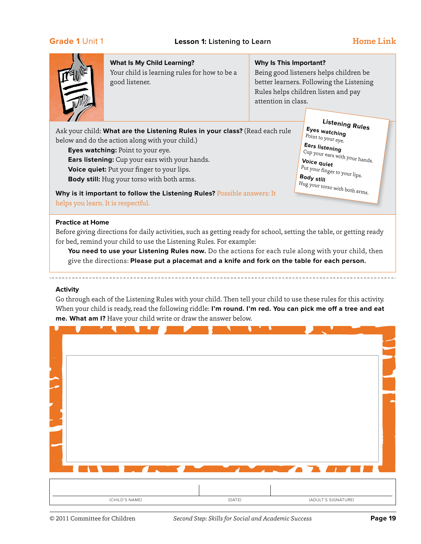

Your child is learning rules for how to be a good listener.

### **Why Is This Important?**

Being good listeners helps children be better learners. Following the Listening Rules helps children listen and pay attention in class.

Ask your child: **What are the Listening Rules in your class?** (Read each rule below and do the action along with your child.)

**Eyes watching:** Point to your eye.

**Ears listening:** Cup your ears with your hands.

**Voice quiet:** Put your finger to your lips.

**Body still:** Hug your torso with both arms.

**Listening Rules Eyes watching** Point to your eye. **Ears listening** 

Cup your ears with your hands. **Voice quiet**  Put your finger to your lips. **Body still** 

Hug your torso with both arms.

**Why is it important to follow the Listening Rules?** Possible answers: It helps you learn. It is respectful.

### **Practice at Home**

Before giving directions for daily activities, such as getting ready for school, setting the table, or getting ready for bed, remind your child to use the Listening Rules. For example:

**You need to use your Listening Rules now.** Do the actions for each rule along with your child, then give the directions: **Please put a placemat and a knife and fork on the table for each person.**

### **Activity**

Go through each of the Listening Rules with your child. Then tell your child to use these rules for this activity. When your child is ready, read the following riddle: **I'm round. I'm red. You can pick me off a tree and eat me. What am I?** Have your child write or draw the answer below.

|  |  | $\blacksquare$ |                                                                                                                                                                                                                                      |  |
|--|--|----------------|--------------------------------------------------------------------------------------------------------------------------------------------------------------------------------------------------------------------------------------|--|
|  |  |                |                                                                                                                                                                                                                                      |  |
|  |  |                |                                                                                                                                                                                                                                      |  |
|  |  |                |                                                                                                                                                                                                                                      |  |
|  |  |                |                                                                                                                                                                                                                                      |  |
|  |  |                |                                                                                                                                                                                                                                      |  |
|  |  |                |                                                                                                                                                                                                                                      |  |
|  |  |                |                                                                                                                                                                                                                                      |  |
|  |  |                |                                                                                                                                                                                                                                      |  |
|  |  |                |                                                                                                                                                                                                                                      |  |
|  |  |                |                                                                                                                                                                                                                                      |  |
|  |  |                |                                                                                                                                                                                                                                      |  |
|  |  |                |                                                                                                                                                                                                                                      |  |
|  |  |                |                                                                                                                                                                                                                                      |  |
|  |  |                |                                                                                                                                                                                                                                      |  |
|  |  |                | <u> De Artista de la componenta de la componenta de la componenta de la componenta de la componenta de la componenta de la componenta de la componenta de la componenta de la componenta de la componenta de la componenta de la</u> |  |
|  |  |                |                                                                                                                                                                                                                                      |  |
|  |  |                |                                                                                                                                                                                                                                      |  |
|  |  |                |                                                                                                                                                                                                                                      |  |

(CHILD'S NAME) (DATE) (ADULT'S SIGNATURE)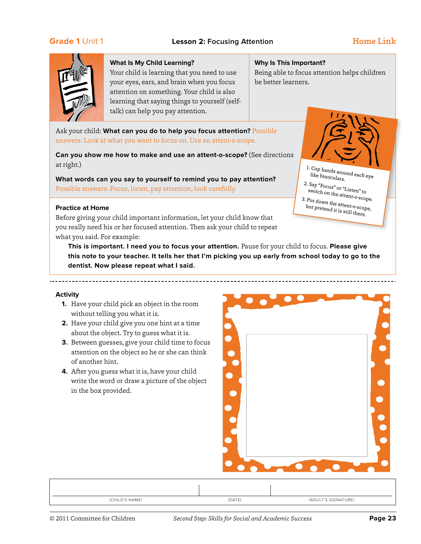

Your child is learning that you need to use your eyes, ears, and brain when you focus attention on something. Your child is also learning that saying things to yourself (selftalk) can help you pay attention.

### **Why Is This Important?**

Being able to focus attention helps children be better learners.

> 1. Cup hands around each eye like binoculars. 2. Say "Focus" or "Listen" to switch on the attent-o-scope. 3. Put down the attent-o-scope, but pretend it is still there.

Ask your child: **What can you do to help you focus attention?** Possible answers: Look at what you want to focus on. Use an attent-o-scope.

**Can you show me how to make and use an attent-o-scope?** (See directions at right.)

**What words can you say to yourself to remind you to pay attention?** Possible answers: Focus, listen, pay attention, look carefully.

### **Practice at Home**

Before giving your child important information, let your child know that you really need his or her focused attention. Then ask your child to repeat what you said. For example:

**This is important. I need you to focus your attention.** Pause for your child to focus. **Please give this note to your teacher. It tells her that I'm picking you up early from school today to go to the dentist. Now please repeat what I said.**

### **Activity**

- **1.** Have your child pick an object in the room without telling you what it is.
- **2.** Have your child give you one hint at a time about the object. Try to guess what it is.
- **3.** Between guesses, give your child time to focus attention on the object so he or she can think of another hint.
- **4.** After you guess what it is, have your child write the word or draw a picture of the object in the box provided.



| (CHILD'S NAME) | (DATE) | (ADULT'S SIGNATURE) |
|----------------|--------|---------------------|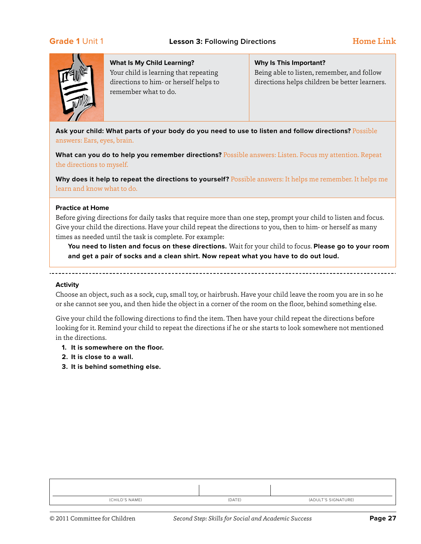

Your child is learning that repeating directions to him- or herself helps to remember what to do.

### **Why Is This Important?**

Being able to listen, remember, and follow directions helps children be better learners.

**Ask your child: What parts of your body do you need to use to listen and follow directions?** Possible answers: Ears, eyes, brain.

**What can you do to help you remember directions?** Possible answers: Listen. Focus my attention. Repeat the directions to myself.

**Why does it help to repeat the directions to yourself?** Possible answers: It helps me remember. It helps me learn and know what to do.

### **Practice at Home**

Before giving directions for daily tasks that require more than one step, prompt your child to listen and focus. Give your child the directions. Have your child repeat the directions to you, then to him- or herself as many times as needed until the task is complete. For example:

**You need to listen and focus on these directions.** Wait for your child to focus. **Please go to your room and get a pair of socks and a clean shirt. Now repeat what you have to do out loud.**

### **Activity**

. <u>. . . . . . . . . . . . . . .</u>

Choose an object, such as a sock, cup, small toy, or hairbrush. Have your child leave the room you are in so he or she cannot see you, and then hide the object in a corner of the room on the floor, behind something else.

Give your child the following directions to find the item. Then have your child repeat the directions before looking for it. Remind your child to repeat the directions if he or she starts to look somewhere not mentioned in the directions.

- **1. It is somewhere on the floor.**
- **2. It is close to a wall.**
- **3. It is behind something else.**

| (CHILD'S NAME) | (DATE) | (ADULT'S SIGNATURE) |
|----------------|--------|---------------------|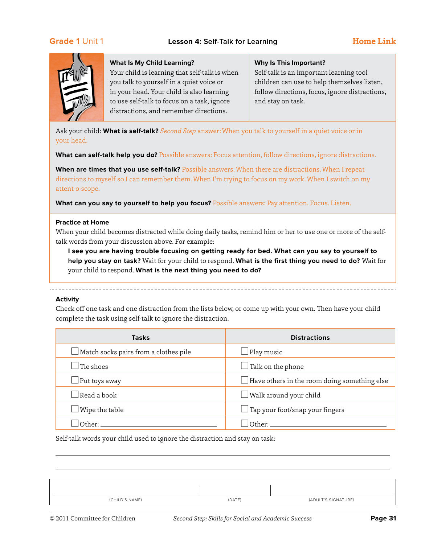

Your child is learning that self-talk is when you talk to yourself in a quiet voice or in your head. Your child is also learning to use self-talk to focus on a task, ignore distractions, and remember directions.

### **Why Is This Important?**

Self-talk is an important learning tool children can use to help themselves listen, follow directions, focus, ignore distractions, and stay on task.

Ask your child: **What is self-talk?** *Second Step* answer: When you talk to yourself in a quiet voice or in your head.

**What can self-talk help you do?** Possible answers: Focus attention, follow directions, ignore distractions.

**When are times that you use self-talk?** Possible answers: When there are distractions. When I repeat directions to myself so I can remember them. When I'm trying to focus on my work. When I switch on my attent-o-scope.

**What can you say to yourself to help you focus?** Possible answers: Pay attention. Focus. Listen.

### **Practice at Home**

When your child becomes distracted while doing daily tasks, remind him or her to use one or more of the selftalk words from your discussion above. For example:

**I see you are having trouble focusing on getting ready for bed. What can you say to yourself to help you stay on task?** Wait for your child to respond. **What is the first thing you need to do?** Wait for your child to respond. **What is the next thing you need to do?**

### **Activity**

Check off one task and one distraction from the lists below, or come up with your own. Then have your child complete the task using self-talk to ignore the distraction.

| <b>Tasks</b>                                 | <b>Distractions</b>                                 |
|----------------------------------------------|-----------------------------------------------------|
| $\Box$ Match socks pairs from a clothes pile | $\Box$ Play music                                   |
| $\Box$ Tie shoes                             | $\Box$ Talk on the phone                            |
| $\Box$ Put toys away                         | $\Box$ Have others in the room doing something else |
| $\Box$ Read a book                           | $\Box$ Walk around your child                       |
| $\Box$ Wipe the table                        | $\Box$ Tap your foot/snap your fingers              |
| $\bigcap_{\text{therr}}$                     | Other:                                              |

Self-talk words your child used to ignore the distraction and stay on task:

| (CHILD'S NAME) | (DATE) | (ADULT'S SIGNATURE) |
|----------------|--------|---------------------|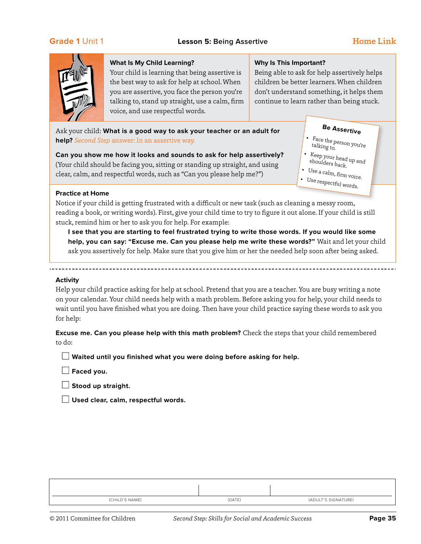

Your child is learning that being assertive is the best way to ask for help at school. When you are assertive, you face the person you're talking to, stand up straight, use a calm, firm voice, and use respectful words.

### **Why Is This Important?**

Being able to ask for help assertively helps children be better learners. When children don't understand something, it helps them continue to learn rather than being stuck.

•

## Ask your child: **What is a good way to ask your teacher or an adult for help?** *Second Step* answer: In an assertive way.

**Can you show me how it looks and sounds to ask for help assertively?** (Your child should be facing you, sitting or standing up straight, and using clear, calm, and respectful words, such as "Can you please help me?")

# **Be Assertive**

- • Face the person you're talking to.
- Keep your head up and shoulders back.
- Use a calm, firm  $_{{\rm{voice}}}$ . Use respectful words.

### **Practice at Home**

Notice if your child is getting frustrated with a difficult or new task (such as cleaning a messy room, reading a book, or writing words). First, give your child time to try to figure it out alone. If your child is still stuck, remind him or her to ask you for help. For example:

**I see that you are starting to feel frustrated trying to write those words. If you would like some help, you can say: "Excuse me. Can you please help me write these words?"** Wait and let your child ask you assertively for help. Make sure that you give him or her the needed help soon after being asked.

### **Activity**

Help your child practice asking for help at school. Pretend that you are a teacher. You are busy writing a note on your calendar. Your child needs help with a math problem. Before asking you for help, your child needs to wait until you have finished what you are doing. Then have your child practice saying these words to ask you for help:

**Excuse me. Can you please help with this math problem?** Check the steps that your child remembered to do:

**Naited until you finished what you were doing before asking for help.** 

 $\Box$  Faced you.

 $\Box$  Stood up straight.

n **Used clear, calm, respectful words.**

| (CHILD'S NAME) | (DATE) | (ADULT'S SIGNATURE) |
|----------------|--------|---------------------|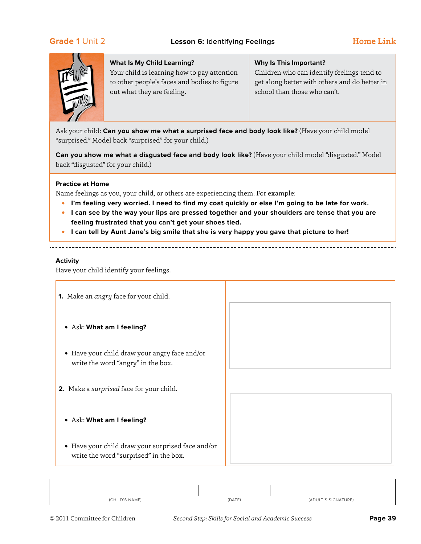# **Grade 1** Unit 2 **Lesson 6:** Identifying Feelings The Mome Link



### **What Is My Child Learning?**

Your child is learning how to pay attention to other people's faces and bodies to figure out what they are feeling.

### **Why Is This Important?**

Children who can identify feelings tend to get along better with others and do better in school than those who can't.

Ask your child: **Can you show me what a surprised face and body look like?** (Have your child model "surprised." Model back "surprised" for your child.)

**Can you show me what a disgusted face and body look like?** (Have your child model "disgusted." Model back "disgusted" for your child.)

### **Practice at Home**

Name feelings as you, your child, or others are experiencing them. For example:

- **• I'm feeling very worried. I need to find my coat quickly or else I'm going to be late for work.**
- **• I can see by the way your lips are pressed together and your shoulders are tense that you are feeling frustrated that you can't get your shoes tied.**
- **• I can tell by Aunt Jane's big smile that she is very happy you gave that picture to her!**

### **Activity**

Have your child identify your feelings.

| <b>1.</b> Make an <i>angry</i> face for your child.                                         |  |
|---------------------------------------------------------------------------------------------|--|
| • Ask: What am I feeling?                                                                   |  |
| • Have your child draw your angry face and/or<br>write the word "angry" in the box.         |  |
| 2. Make a surprised face for your child.                                                    |  |
| • Ask: What am I feeling?                                                                   |  |
| • Have your child draw your surprised face and/or<br>write the word "surprised" in the box. |  |

| (CHILD'S NAME) | (DATE) | (ADULT'S SIGNATURE) |
|----------------|--------|---------------------|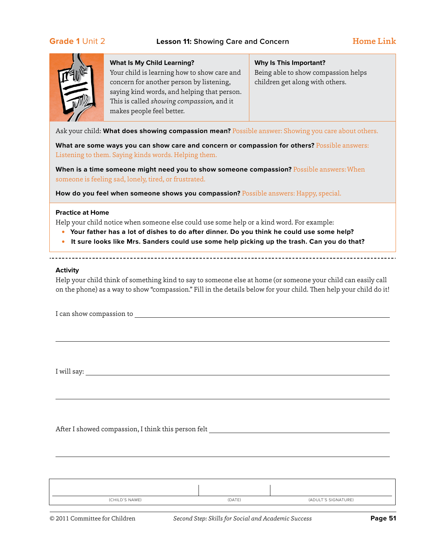# **Grade 1** Unit 2 **Lesson 11:** Showing Care and Concern **Home Link**



### **What Is My Child Learning?**

Your child is learning how to show care and concern for another person by listening, saying kind words, and helping that person. This is called *showing compassion,* and it makes people feel better.

# **Why Is This Important?** Being able to show compassion helps children get along with others.

Ask your child: **What does showing compassion mean?** Possible answer: Showing you care about others.

**What are some ways you can show care and concern or compassion for others?** Possible answers: Listening to them. Saying kinds words. Helping them.

**When is a time someone might need you to show someone compassion?** Possible answers: When someone is feeling sad, lonely, tired, or frustrated.

**How do you feel when someone shows you compassion?** Possible answers: Happy, special.

### **Practice at Home**

Help your child notice when someone else could use some help or a kind word. For example:

- **• Your father has a lot of dishes to do after dinner. Do you think he could use some help?**
- **• It sure looks like Mrs. Sanders could use some help picking up the trash. Can you do that?**

### **Activity**

Help your child think of something kind to say to someone else at home (or someone your child can easily call on the phone) as a way to show "compassion." Fill in the details below for your child. Then help your child do it!

I can show compassion to

I will say:

After I showed compassion, I think this person felt

| (CHILD'S NAME) | (DATE) | (ADULT'S SIGNATURE) |
|----------------|--------|---------------------|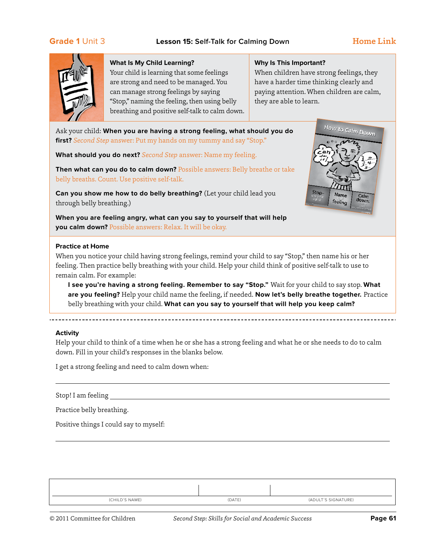# **Grade 1** Unit 3 **Lesson 15: Self-Talk for Calming Down** Home Link



### **What Is My Child Learning?**

Your child is learning that some feelings are strong and need to be managed. You can manage strong feelings by saying "Stop," naming the feeling, then using belly breathing and positive self-talk to calm down.

### **Why Is This Important?**

When children have strong feelings, they have a harder time thinking clearly and paying attention. When children are calm, they are able to learn.

Ask your child: **When you are having a strong feeling, what should you do first?** *Second Step* answer: Put my hands on my tummy and say "Stop."

**What should you do next?** *Second Step* answer: Name my feeling.

**Then what can you do to calm down?** Possible answers: Belly breathe or take belly breaths. Count. Use positive self-talk.

**Can you show me how to do belly breathing?** (Let your child lead you through belly breathing.)

**When you are feeling angry, what can you say to yourself that will help you calm down?** Possible answers: Relax. It will be okay.



### **Practice at Home**

When you notice your child having strong feelings, remind your child to say "Stop," then name his or her feeling. Then practice belly breathing with your child. Help your child think of positive self-talk to use to remain calm. For example:

**I see you're having a strong feeling. Remember to say "Stop."** Wait for your child to say stop. **What are you feeling?** Help your child name the feeling, if needed. **Now let's belly breathe together.** Practice belly breathing with your child. **What can you say to yourself that will help you keep calm?**

### **Activity**

Help your child to think of a time when he or she has a strong feeling and what he or she needs to do to calm down. Fill in your child's responses in the blanks below.

I get a strong feeling and need to calm down when:

Stop! I am feeling

Practice belly breathing.

Positive things I could say to myself:

| (CHILD'S NAME) | (DATE) | (ADULT'S SIGNATURE) |
|----------------|--------|---------------------|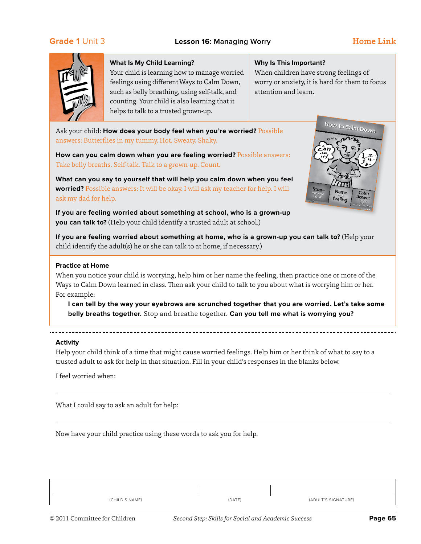

Your child is learning how to manage worried feelings using different Ways to Calm Down, such as belly breathing, using self-talk, and counting. Your child is also learning that it helps to talk to a trusted grown-up.

### **Why Is This Important?**

When children have strong feelings of worry or anxiety, it is hard for them to focus attention and learn.

Ask your child: **How does your body feel when you're worried?** Possible answers: Butterflies in my tummy. Hot. Sweaty. Shaky.

**How can you calm down when you are feeling worried?** Possible answers: Take belly breaths. Self-talk. Talk to a grown-up. Count.

**What can you say to yourself that will help you calm down when you feel worried?** Possible answers: It will be okay. I will ask my teacher for help. I will ask my dad for help.

**If you are feeling worried about something at school, who is a grown-up you can talk to?** (Help your child identify a trusted adult at school.)



**If you are feeling worried about something at home, who is a grown-up you can talk to?** (Help your child identify the adult(s) he or she can talk to at home, if necessary.)

### **Practice at Home**

When you notice your child is worrying, help him or her name the feeling, then practice one or more of the Ways to Calm Down learned in class. Then ask your child to talk to you about what is worrying him or her. For example:

**I can tell by the way your eyebrows are scrunched together that you are worried. Let's take some belly breaths together.** Stop and breathe together. **Can you tell me what is worrying you?**

### **Activity**

<u>. . . . . . .</u>

Help your child think of a time that might cause worried feelings. Help him or her think of what to say to a trusted adult to ask for help in that situation. Fill in your child's responses in the blanks below.

I feel worried when:

What I could say to ask an adult for help:

Now have your child practice using these words to ask you for help.

| (CHILD'S NAME) | (DATE) | (ADULT'S SIGNATURE) |
|----------------|--------|---------------------|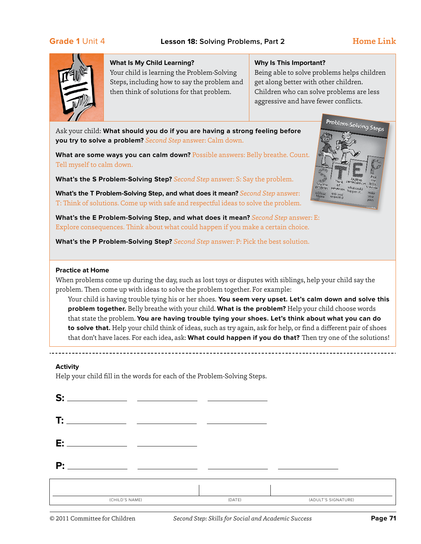Problem-Solving Steps



### **What Is My Child Learning?**

Your child is learning the Problem-Solving Steps, including how to say the problem and then think of solutions for that problem.

### **Why Is This Important?**

Being able to solve problems helps children get along better with other children. Children who can solve problems are less aggressive and have fewer conflicts.

Ask your child: **What should you do if you are having a strong feeling before you try to solve a problem?** *Second Step* answer: Calm down.

**What are some ways you can calm down?** Possible answers: Belly breathe. Count. Tell myself to calm down.

**What's the S Problem-Solving Step?** *Second Step* answer: S: Say the problem.

**What's the T Problem-Solving Step, and what does it mean?** *Second Step* answer: T: Think of solutions. Come up with safe and respectful ideas to solve the problem.

**What's the E Problem-Solving Step, and what does it mean?** *Second Step* answer: E: Explore consequences. Think about what could happen if you make a certain choice.

**What's the P Problem-Solving Step?** *Second Step* answer: P: Pick the best solution.

### **Practice at Home**

When problems come up during the day, such as lost toys or disputes with siblings, help your child say the problem. Then come up with ideas to solve the problem together. For example:

Your child is having trouble tying his or her shoes. **You seem very upset. Let's calm down and solve this problem together.** Belly breathe with your child. **What is the problem?** Help your child choose words that state the problem. **You are having trouble tying your shoes. Let's think about what you can do to solve that.** Help your child think of ideas, such as try again, ask for help, or find a different pair of shoes that don't have laces. For each idea, ask: **What could happen if you do that?** Then try one of the solutions!

### **Activity**

Help your child fill in the words for each of the Problem-Solving Steps.

| c.                                                 | <u> 1980 - Johann Barn, mars an t-Amerikaansk politiker (</u> |        |                     |
|----------------------------------------------------|---------------------------------------------------------------|--------|---------------------|
| T:<br><u> 1990 - Johann Barn, fransk politik (</u> |                                                               |        |                     |
| E:                                                 |                                                               |        |                     |
| $\mathsf{P}$ :                                     |                                                               |        |                     |
|                                                    |                                                               |        |                     |
| (CHILD'S NAME)                                     |                                                               | (DATE) | (ADULT'S SIGNATURE) |